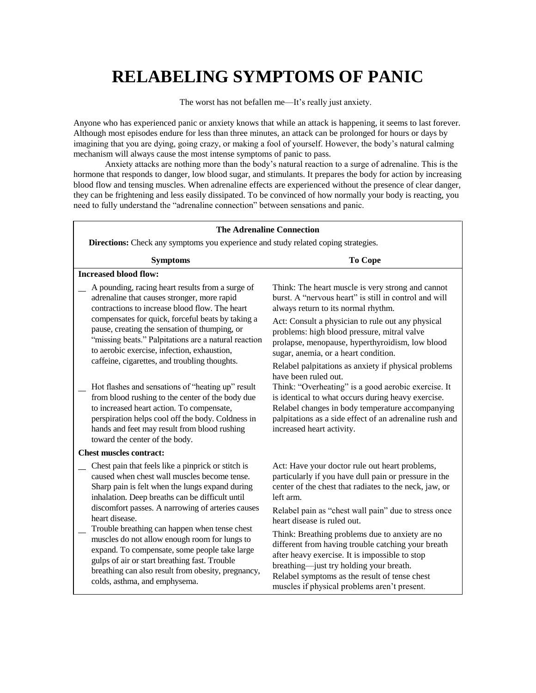# **RELABELING SYMPTOMS OF PANIC**

The worst has not befallen me—It's really just anxiety.

Anyone who has experienced panic or anxiety knows that while an attack is happening, it seems to last forever. Although most episodes endure for less than three minutes, an attack can be prolonged for hours or days by imagining that you are dying, going crazy, or making a fool of yourself. However, the body's natural calming mechanism will always cause the most intense symptoms of panic to pass.

Anxiety attacks are nothing more than the body's natural reaction to a surge of adrenaline. This is the hormone that responds to danger, low blood sugar, and stimulants. It prepares the body for action by increasing blood flow and tensing muscles. When adrenaline effects are experienced without the presence of clear danger, they can be frightening and less easily dissipated. To be convinced of how normally your body is reacting, you need to fully understand the "adrenaline connection" between sensations and panic.

| <b>The Adrenaline Connection</b>                                                                                                                                                                                                                                                        |                                                                                                                                                                                                                                                                                                     |
|-----------------------------------------------------------------------------------------------------------------------------------------------------------------------------------------------------------------------------------------------------------------------------------------|-----------------------------------------------------------------------------------------------------------------------------------------------------------------------------------------------------------------------------------------------------------------------------------------------------|
| Directions: Check any symptoms you experience and study related coping strategies.                                                                                                                                                                                                      |                                                                                                                                                                                                                                                                                                     |
| <b>Symptoms</b>                                                                                                                                                                                                                                                                         | To Cope                                                                                                                                                                                                                                                                                             |
| <b>Increased blood flow:</b>                                                                                                                                                                                                                                                            |                                                                                                                                                                                                                                                                                                     |
| A pounding, racing heart results from a surge of<br>adrenaline that causes stronger, more rapid<br>contractions to increase blood flow. The heart                                                                                                                                       | Think: The heart muscle is very strong and cannot<br>burst. A "nervous heart" is still in control and will<br>always return to its normal rhythm.                                                                                                                                                   |
| compensates for quick, forceful beats by taking a<br>pause, creating the sensation of thumping, or<br>"missing beats." Palpitations are a natural reaction<br>to aerobic exercise, infection, exhaustion,<br>caffeine, cigarettes, and troubling thoughts.                              | Act: Consult a physician to rule out any physical<br>problems: high blood pressure, mitral valve<br>prolapse, menopause, hyperthyroidism, low blood<br>sugar, anemia, or a heart condition.                                                                                                         |
| Hot flashes and sensations of "heating up" result<br>from blood rushing to the center of the body due<br>to increased heart action. To compensate,                                                                                                                                      | Relabel palpitations as anxiety if physical problems<br>have been ruled out.<br>Think: "Overheating" is a good aerobic exercise. It<br>is identical to what occurs during heavy exercise.<br>Relabel changes in body temperature accompanying                                                       |
| perspiration helps cool off the body. Coldness in<br>hands and feet may result from blood rushing<br>toward the center of the body.                                                                                                                                                     | palpitations as a side effect of an adrenaline rush and<br>increased heart activity.                                                                                                                                                                                                                |
| <b>Chest muscles contract:</b>                                                                                                                                                                                                                                                          |                                                                                                                                                                                                                                                                                                     |
| Chest pain that feels like a pinprick or stitch is<br>caused when chest wall muscles become tense.<br>Sharp pain is felt when the lungs expand during<br>inhalation. Deep breaths can be difficult until                                                                                | Act: Have your doctor rule out heart problems,<br>particularly if you have dull pain or pressure in the<br>center of the chest that radiates to the neck, jaw, or<br>left arm.                                                                                                                      |
| discomfort passes. A narrowing of arteries causes<br>heart disease.                                                                                                                                                                                                                     | Relabel pain as "chest wall pain" due to stress once<br>heart disease is ruled out.                                                                                                                                                                                                                 |
| Trouble breathing can happen when tense chest<br>muscles do not allow enough room for lungs to<br>expand. To compensate, some people take large<br>gulps of air or start breathing fast. Trouble<br>breathing can also result from obesity, pregnancy,<br>colds, asthma, and emphysema. | Think: Breathing problems due to anxiety are no<br>different from having trouble catching your breath<br>after heavy exercise. It is impossible to stop<br>breathing-just try holding your breath.<br>Relabel symptoms as the result of tense chest<br>muscles if physical problems aren't present. |